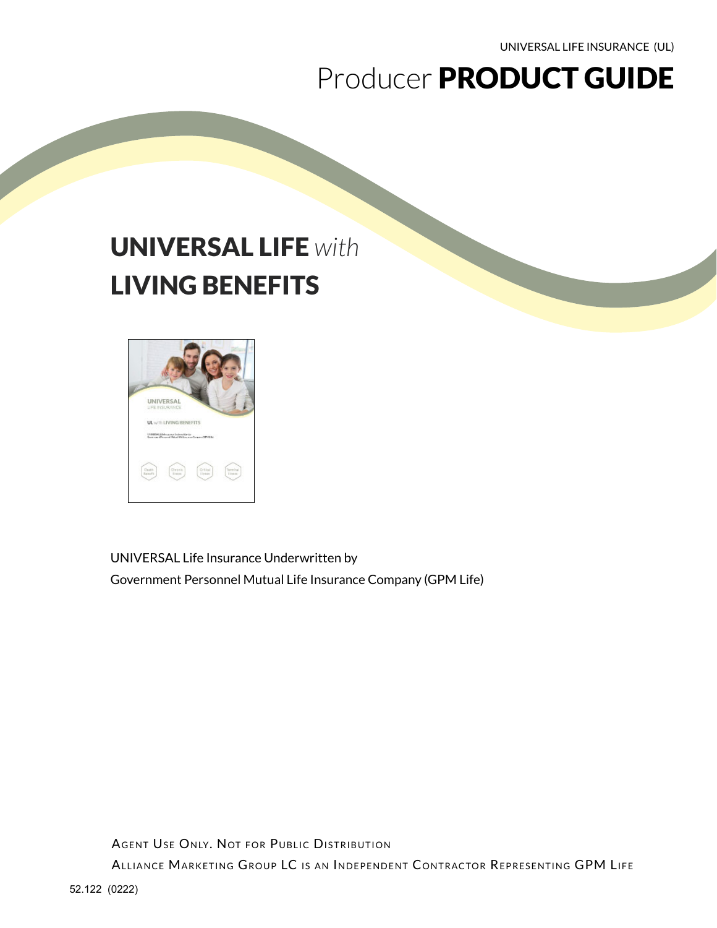UNIVERSAL LIFE INSURANCE (UL)

# Producer PRODUCT GUIDE

# UNIVERSAL LIFE *with*  LIVING BENEFITS



UNIVERSAL Life Insurance Underwritten by Government Personnel Mutual Life Insurance Company (GPM Life)

AGENT USE ONLY. NOT FOR PUBLIC DISTRIBUTION ALLIANCE MARKETING GROUP LC IS AN INDEPENDENT CONTRACTOR REPRESENTING GPM LIFE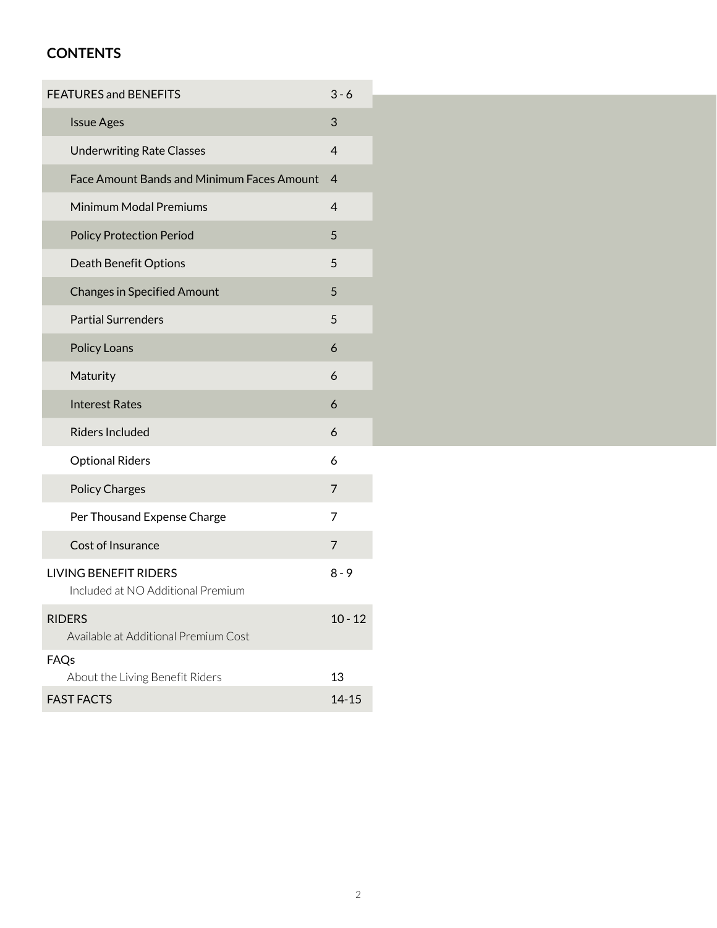### **CONTENTS**

| <b>FEATURES and BENEFITS</b>                                      | $3 - 6$        |  |
|-------------------------------------------------------------------|----------------|--|
| <b>Issue Ages</b>                                                 | 3              |  |
| <b>Underwriting Rate Classes</b>                                  | $\overline{4}$ |  |
| <b>Face Amount Bands and Minimum Faces Amount</b>                 | $\overline{4}$ |  |
| Minimum Modal Premiums                                            | 4              |  |
| <b>Policy Protection Period</b>                                   | 5              |  |
| <b>Death Benefit Options</b>                                      | 5              |  |
| <b>Changes in Specified Amount</b>                                | 5              |  |
| <b>Partial Surrenders</b>                                         | 5              |  |
| Policy Loans                                                      | 6              |  |
| Maturity                                                          | 6              |  |
| <b>Interest Rates</b>                                             | 6              |  |
| <b>Riders Included</b>                                            | 6              |  |
| <b>Optional Riders</b>                                            | 6              |  |
| <b>Policy Charges</b>                                             | 7              |  |
| Per Thousand Expense Charge                                       | 7              |  |
| Cost of Insurance                                                 | 7              |  |
| <b>LIVING BENEFIT RIDERS</b><br>Included at NO Additional Premium | $8 - 9$        |  |
| <b>RIDERS</b><br>Available at Additional Premium Cost             | $10 - 12$      |  |
| FAQs                                                              |                |  |
| About the Living Benefit Riders                                   | 13             |  |
| <b>FAST FACTS</b>                                                 | $14 - 15$      |  |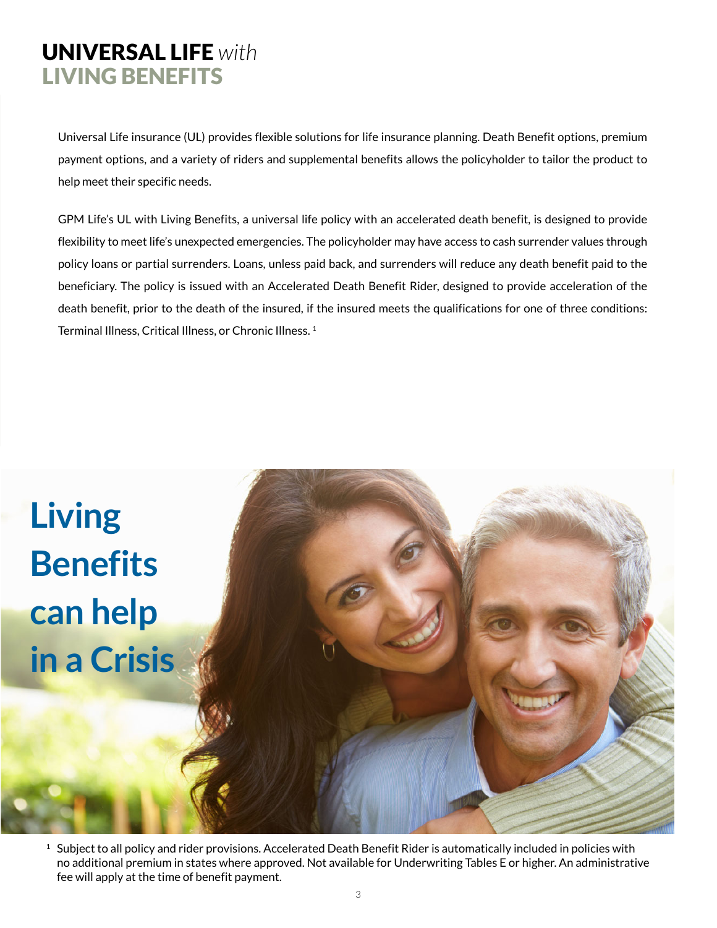## UNIVERSAL LIFE *with*  LIVING BENEFITS

Universal Life insurance (UL) provides flexible solutions for life insurance planning. Death Benefit options, premium payment options, and a variety of riders and supplemental benefits allows the policyholder to tailor the product to help meet their specific needs.

GPM Life's UL with Living Benefits, a universal life policy with an accelerated death benefit, is designed to provide flexibility to meet life's unexpected emergencies. The policyholder may have access to cash surrender values through policy loans or partial surrenders. Loans, unless paid back, and surrenders will reduce any death benefit paid to the beneficiary. The policy is issued with an Accelerated Death Benefit Rider, designed to provide acceleration of the death benefit, prior to the death of the insured, if the insured meets the qualifications for one of three conditions: Terminal Illness, Critical Illness, or Chronic Illness. 1



 $1$  Subject to all policy and rider provisions. Accelerated Death Benefit Rider is automatically included in policies with no additional premium in states where approved. Not available for Underwriting Tables E or higher. An administrative fee will apply at the time of benefit payment.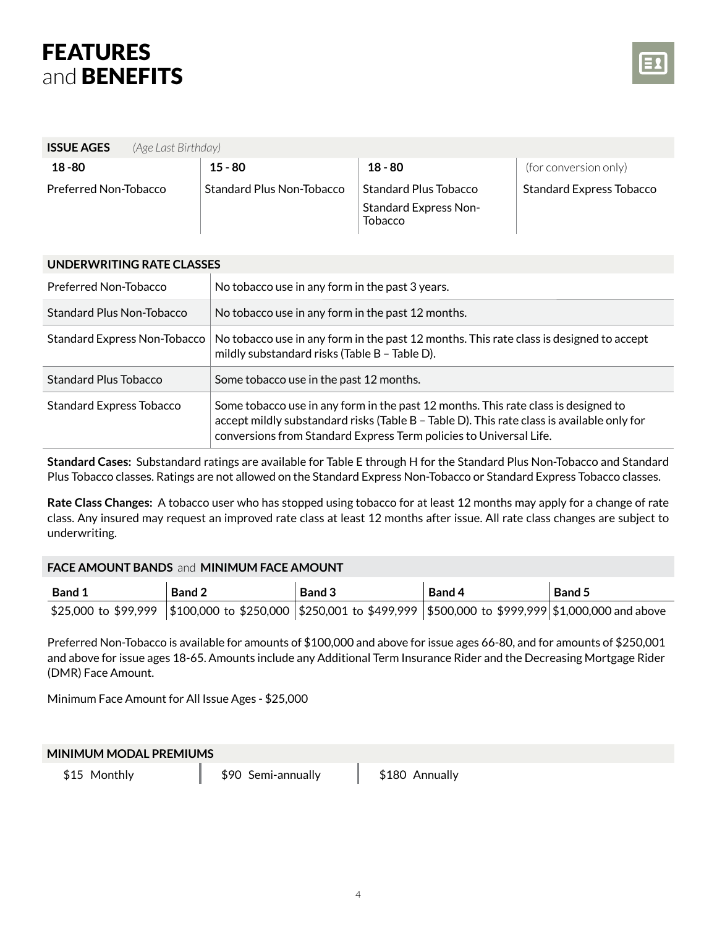

| <b>ISSUE AGES</b><br>(Age Last Birthday) |                           |                                         |                                 |
|------------------------------------------|---------------------------|-----------------------------------------|---------------------------------|
| $18 - 80$                                | $15 - 80$                 | $18 - 80$                               | (for conversion only)           |
| Preferred Non-Tobacco                    | Standard Plus Non-Tobacco | Standard Plus Tobacco                   | <b>Standard Express Tobacco</b> |
|                                          |                           | <b>Standard Express Non-</b><br>Tobacco |                                 |

| UNDERWRITING RATE CLASSES       |                                                                                                                                                                                                                                                        |
|---------------------------------|--------------------------------------------------------------------------------------------------------------------------------------------------------------------------------------------------------------------------------------------------------|
| Preferred Non-Tobacco           | No tobacco use in any form in the past 3 years.                                                                                                                                                                                                        |
| Standard Plus Non-Tobacco       | No tobacco use in any form in the past 12 months.                                                                                                                                                                                                      |
| Standard Express Non-Tobacco    | No tobacco use in any form in the past 12 months. This rate class is designed to accept<br>mildly substandard risks (Table B - Table D).                                                                                                               |
| Standard Plus Tobacco           | Some tobacco use in the past 12 months.                                                                                                                                                                                                                |
| <b>Standard Express Tobacco</b> | Some tobacco use in any form in the past 12 months. This rate class is designed to<br>accept mildly substandard risks (Table B - Table D). This rate class is available only for<br>conversions from Standard Express Term policies to Universal Life. |

**Standard Cases:** Substandard ratings are available for Table E through H for the Standard Plus Non-Tobacco and Standard Plus Tobacco classes. Ratings are not allowed on the Standard Express Non-Tobacco or Standard Express Tobacco classes.

**Rate Class Changes:** A tobacco user who has stopped using tobacco for at least 12 months may apply for a change of rate class. Any insured may request an improved rate class at least 12 months after issue. All rate class changes are subject to underwriting.

### **FACE AMOUNT BANDS** and **MINIMUM FACE AMOUNT**

| <b>Band 1</b> | <b>Band 2</b>                                                                                                           | Band 3 | Band 4 | <b>Band 5</b> |
|---------------|-------------------------------------------------------------------------------------------------------------------------|--------|--------|---------------|
|               | \$25,000 to \$99,999   \$100,000 to \$250,000   \$250,001 to \$499,999   \$500,000 to \$999,999   \$1,000,000 and above |        |        |               |

Preferred Non-Tobacco is available for amounts of \$100,000 and above for issue ages 66-80, and for amounts of \$250,001 and above for issue ages 18-65. Amounts include any Additional Term Insurance Rider and the Decreasing Mortgage Rider (DMR) Face Amount.

Minimum Face Amount for All Issue Ages - \$25,000

### **MINIMUM MODAL PREMIUMS**

\$15 Monthly **\$90 Semi-annually** \$180 Annually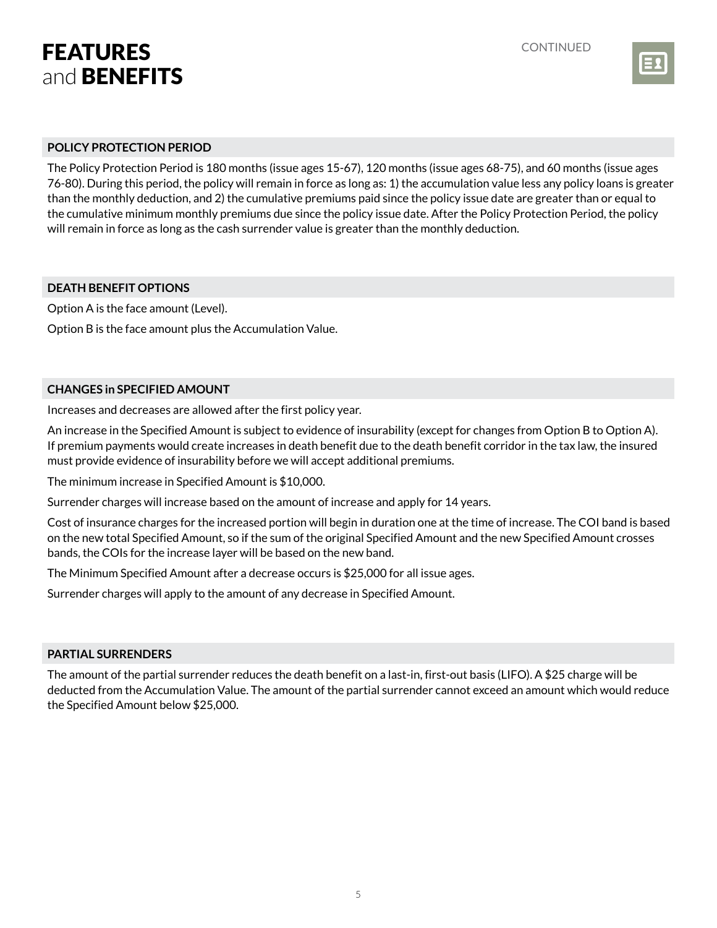

### **POLICY PROTECTION PERIOD**

The Policy Protection Period is 180 months (issue ages 15-67), 120 months (issue ages 68-75), and 60 months (issue ages 76-80). During this period, the policy will remain in force as long as: 1) the accumulation value less any policy loans is greater than the monthly deduction, and 2) the cumulative premiums paid since the policy issue date are greater than or equal to the cumulative minimum monthly premiums due since the policy issue date. After the Policy Protection Period, the policy will remain in force as long as the cash surrender value is greater than the monthly deduction.

### **DEATH BENEFIT OPTIONS**

Option A is the face amount (Level).

Option B is the face amount plus the Accumulation Value.

### **CHANGES in SPECIFIED AMOUNT**

Increases and decreases are allowed after the first policy year.

An increase in the Specified Amount is subject to evidence of insurability (except for changes from Option B to Option A). If premium payments would create increases in death benefit due to the death benefit corridor in the tax law, the insured must provide evidence of insurability before we will accept additional premiums.

The minimum increase in Specified Amount is \$10,000.

Surrender charges will increase based on the amount of increase and apply for 14 years.

Cost of insurance charges for the increased portion will begin in duration one at the time of increase. The COI band is based on the new total Specified Amount, so if the sum of the original Specified Amount and the new Specified Amount crosses bands, the COIs for the increase layer will be based on the new band.

The Minimum Specified Amount after a decrease occurs is \$25,000 for all issue ages.

Surrender charges will apply to the amount of any decrease in Specified Amount.

#### **PARTIAL SURRENDERS**

The amount of the partial surrender reduces the death benefit on a last-in, first-out basis (LIFO). A \$25 charge will be deducted from the Accumulation Value. The amount of the partial surrender cannot exceed an amount which would reduce the Specified Amount below \$25,000.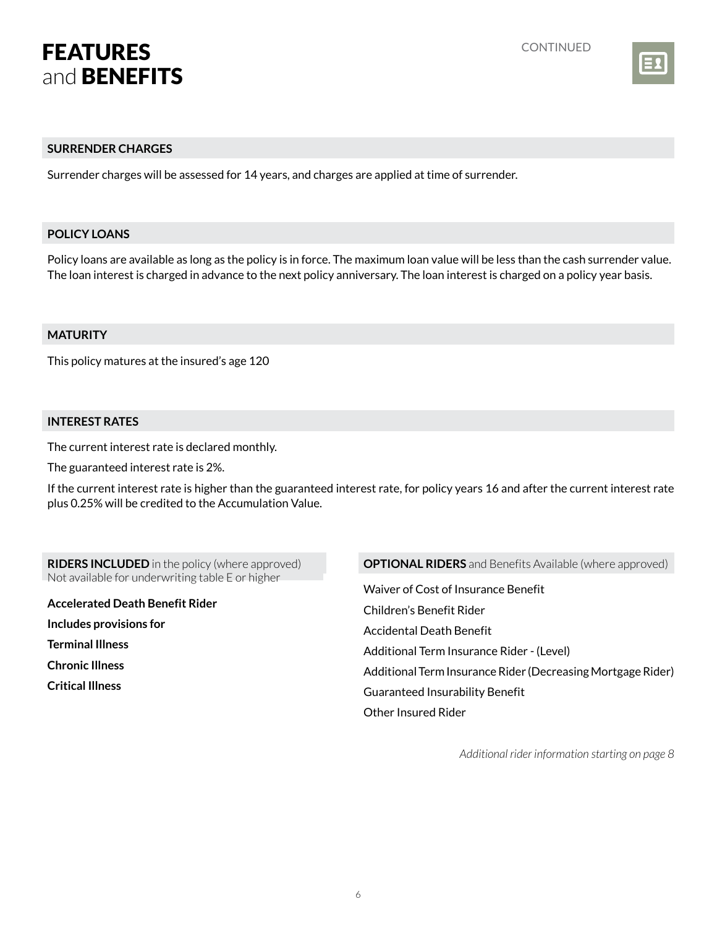

### **SURRENDER CHARGES**

Surrender charges will be assessed for 14 years, and charges are applied at time of surrender.

### **POLICY LOANS**

Policy loans are available as long as the policy is in force. The maximum loan value will be less than the cash surrender value. The loan interest is charged in advance to the next policy anniversary. The loan interest is charged on a policy year basis.

### **MATURITY**

This policy matures at the insured's age 120

### **INTEREST RATES**

The current interest rate is declared monthly.

The guaranteed interest rate is 2%.

If the current interest rate is higher than the guaranteed interest rate, for policy years 16 and after the current interest rate plus 0.25% will be credited to the Accumulation Value.

**RIDERS INCLUDED** in the policy (where approved) Not available for underwriting table E or higher

**Accelerated Death Benefit Rider Includes provisions for Terminal Illness Chronic Illness Critical Illness**

### **OPTIONAL RIDERS** and Benefits Available (where approved)

Waiver of Cost of Insurance Benefit Children's Benefit Rider Accidental Death Benefit Additional Term Insurance Rider - (Level) Additional Term Insurance Rider (Decreasing Mortgage Rider) Guaranteed Insurability Benefit Other Insured Rider

*Additional rider information starting on page 8*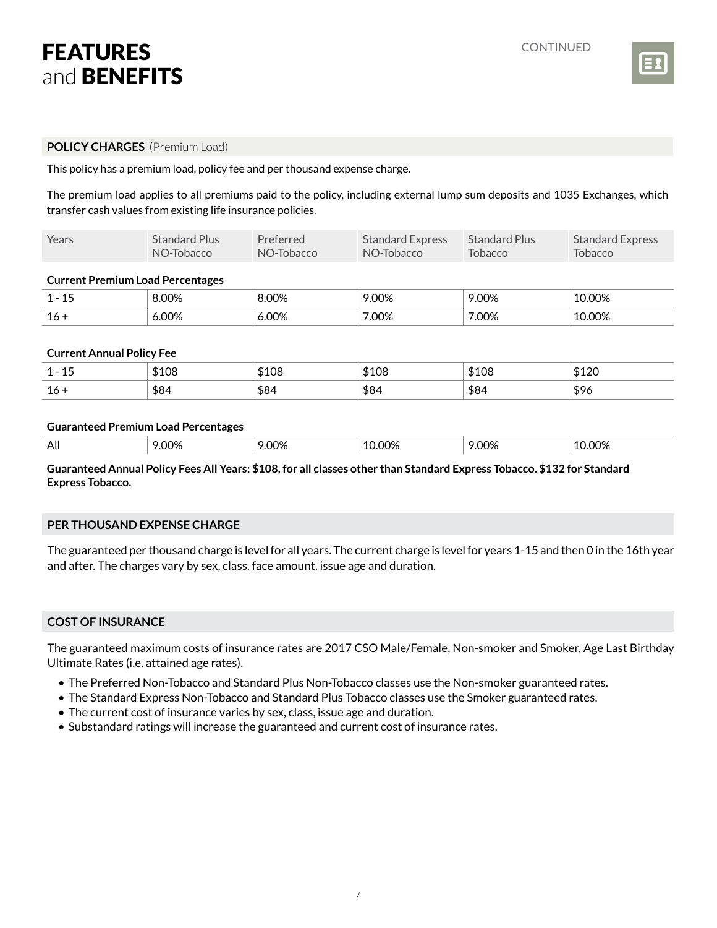

### **POLICY CHARGES** (Premium Load)

This policy has a premium load, policy fee and per thousand expense charge.

The premium load applies to all premiums paid to the policy, including external lump sum deposits and 1035 Exchanges, which transfer cash values from existing life insurance policies.

| Years                                                                                            | <b>Standard Plus</b><br>NO-Tobacco | Preferred<br>NO-Tobacco | <b>Standard Express</b><br>NO-Tobacco | <b>Standard Plus</b><br><b>Tobacco</b> | <b>Standard Express</b><br><b>Tobacco</b> |
|--------------------------------------------------------------------------------------------------|------------------------------------|-------------------------|---------------------------------------|----------------------------------------|-------------------------------------------|
| <b>Current Premium Load Percentages</b>                                                          |                                    |                         |                                       |                                        |                                           |
| $1 - 15$                                                                                         | 8.00%                              | 8.00%                   | 9.00%                                 | 9.00%                                  | 10.00%                                    |
| $16 +$                                                                                           | 6.00%                              | 6.00%                   | 7.00%                                 | 7.00%                                  | 10.00%                                    |
| <b>Current Annual Policy Fee</b>                                                                 |                                    |                         |                                       |                                        |                                           |
| $1 - 15$                                                                                         | \$108                              | \$108                   | \$108                                 | \$108                                  | \$120                                     |
| $16 +$                                                                                           | \$84                               | \$84                    | \$84                                  | \$84                                   | \$96                                      |
| <b>Guaranteed Premium Load Percentages</b><br>All<br>9.00%<br>9.00%<br>10.00%<br>9.00%<br>10.00% |                                    |                         |                                       |                                        |                                           |

**Guaranteed Annual Policy Fees All Years: \$108, for all classes other than Standard Express Tobacco. \$132 for Standard Express Tobacco.**

### **PER THOUSAND EXPENSE CHARGE**

The guaranteed per thousand charge is level for all years. The current charge is level for years 1-15 and then 0 in the 16th year and after. The charges vary by sex, class, face amount, issue age and duration.

### **COST OF INSURANCE**

The guaranteed maximum costs of insurance rates are 2017 CSO Male/Female, Non-smoker and Smoker, Age Last Birthday Ultimate Rates (i.e. attained age rates).

- The Preferred Non-Tobacco and Standard Plus Non-Tobacco classes use the Non-smoker guaranteed rates.
- The Standard Express Non-Tobacco and Standard Plus Tobacco classes use the Smoker guaranteed rates.
- The current cost of insurance varies by sex, class, issue age and duration.
- Substandard ratings will increase the guaranteed and current cost of insurance rates.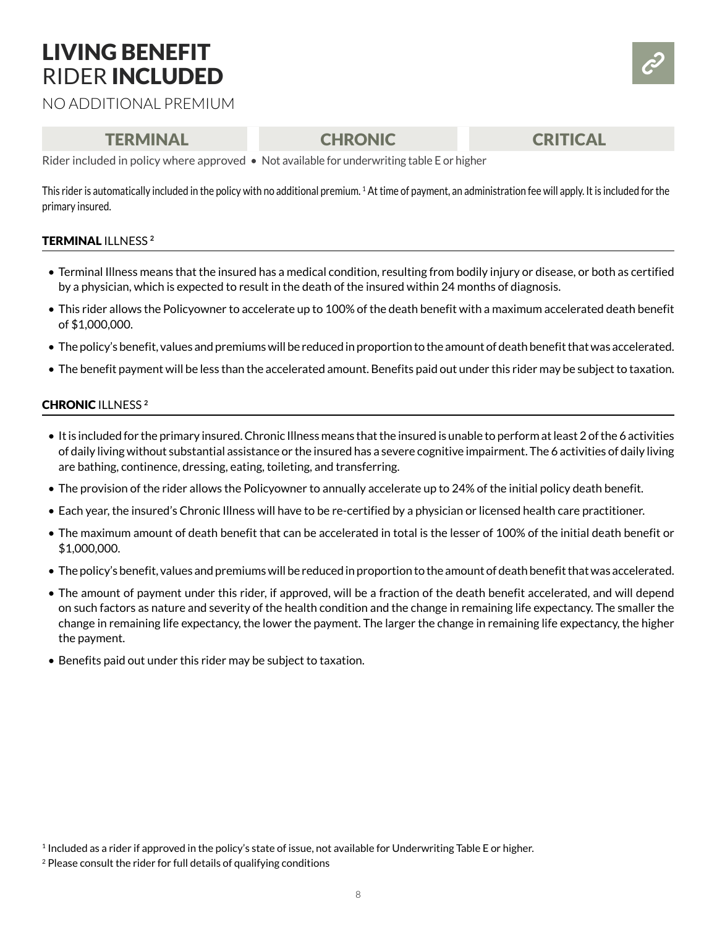# LIVING BENEFIT RIDER INCLUDED

NO ADDITIONAL PREMIUM

### TERMINAL CHRONIC CRITICAL

Rider included in policy where approved • Not available for underwriting table E or higher

This rider is automatically included in the policy with no additional premium. 1 At time of payment, an administration fee will apply. It is included for the primary insured.

### TERMINAL ILLNESS **<sup>2</sup>**

- Terminal Illness means that the insured has a medical condition, resulting from bodily injury or disease, or both as certified by a physician, which is expected to result in the death of the insured within 24 months of diagnosis.
- This rider allows the Policyowner to accelerate up to 100% of the death benefit with a maximum accelerated death benefit of \$1,000,000.
- The policy's benefit, values and premiums will be reduced in proportion to the amount of death benefit that was accelerated.
- The benefit payment will be less than the accelerated amount. Benefits paid out under this rider may be subject to taxation.

### CHRONIC ILLNESS **<sup>2</sup>**

- It is included for the primary insured. Chronic Illness means that the insured is unable to perform at least 2 of the 6 activities of daily living without substantial assistance or the insured has a severe cognitive impairment. The 6 activities of daily living are bathing, continence, dressing, eating, toileting, and transferring.
- The provision of the rider allows the Policyowner to annually accelerate up to 24% of the initial policy death benefit.
- Each year, the insured's Chronic Illness will have to be re-certified by a physician or licensed health care practitioner.
- The maximum amount of death benefit that can be accelerated in total is the lesser of 100% of the initial death benefit or \$1,000,000.
- The policy's benefit, values and premiums will be reduced in proportion to the amount of death benefit that was accelerated.
- The amount of payment under this rider, if approved, will be a fraction of the death benefit accelerated, and will depend on such factors as nature and severity of the health condition and the change in remaining life expectancy. The smaller the change in remaining life expectancy, the lower the payment. The larger the change in remaining life expectancy, the higher the payment.
- Benefits paid out under this rider may be subject to taxation.

<sup>1</sup> Included as a rider if approved in the policy's state of issue, not available for Underwriting Table E or higher.

<sup>&</sup>lt;sup>2</sup> Please consult the rider for full details of qualifying conditions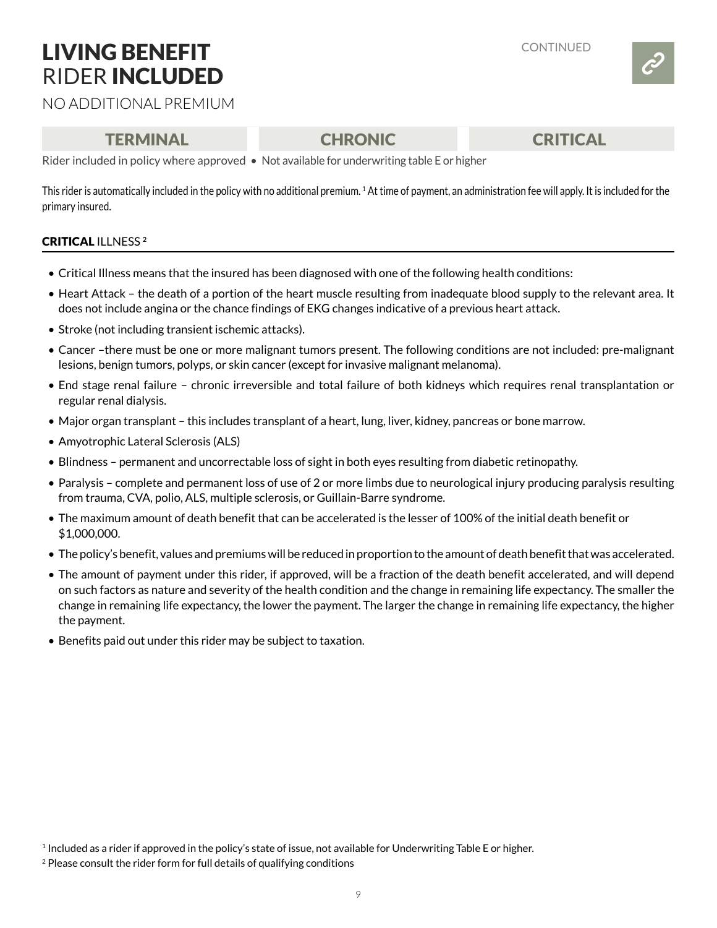# LIVING BENEFIT RIDER INCLUDED



NO ADDITIONAL PREMIUM

### TERMINAL CHRONIC CRITICAL

Rider included in policy where approved • Not available for underwriting table E or higher

This rider is automatically included in the policy with no additional premium. 1 At time of payment, an administration fee will apply. It is included for the primary insured.

### CRITICAL ILLNESS **<sup>2</sup>**

- Critical Illness means that the insured has been diagnosed with one of the following health conditions:
- Heart Attack the death of a portion of the heart muscle resulting from inadequate blood supply to the relevant area. It does not include angina or the chance findings of EKG changes indicative of a previous heart attack.
- Stroke (not including transient ischemic attacks).
- Cancer –there must be one or more malignant tumors present. The following conditions are not included: pre-malignant lesions, benign tumors, polyps, or skin cancer (except for invasive malignant melanoma).
- End stage renal failure chronic irreversible and total failure of both kidneys which requires renal transplantation or regular renal dialysis.
- Major organ transplant this includes transplant of a heart, lung, liver, kidney, pancreas or bone marrow.
- Amyotrophic Lateral Sclerosis (ALS)
- Blindness permanent and uncorrectable loss of sight in both eyes resulting from diabetic retinopathy.
- Paralysis complete and permanent loss of use of 2 or more limbs due to neurological injury producing paralysis resulting from trauma, CVA, polio, ALS, multiple sclerosis, or Guillain-Barre syndrome.
- The maximum amount of death benefit that can be accelerated is the lesser of 100% of the initial death benefit or \$1,000,000.
- The policy's benefit, values and premiums will be reduced in proportion to the amount of death benefit that was accelerated.
- The amount of payment under this rider, if approved, will be a fraction of the death benefit accelerated, and will depend on such factors as nature and severity of the health condition and the change in remaining life expectancy. The smaller the change in remaining life expectancy, the lower the payment. The larger the change in remaining life expectancy, the higher the payment.
- Benefits paid out under this rider may be subject to taxation.

<sup>1</sup> Included as a rider if approved in the policy's state of issue, not available for Underwriting Table E or higher.

<sup>&</sup>lt;sup>2</sup> Please consult the rider form for full details of qualifying conditions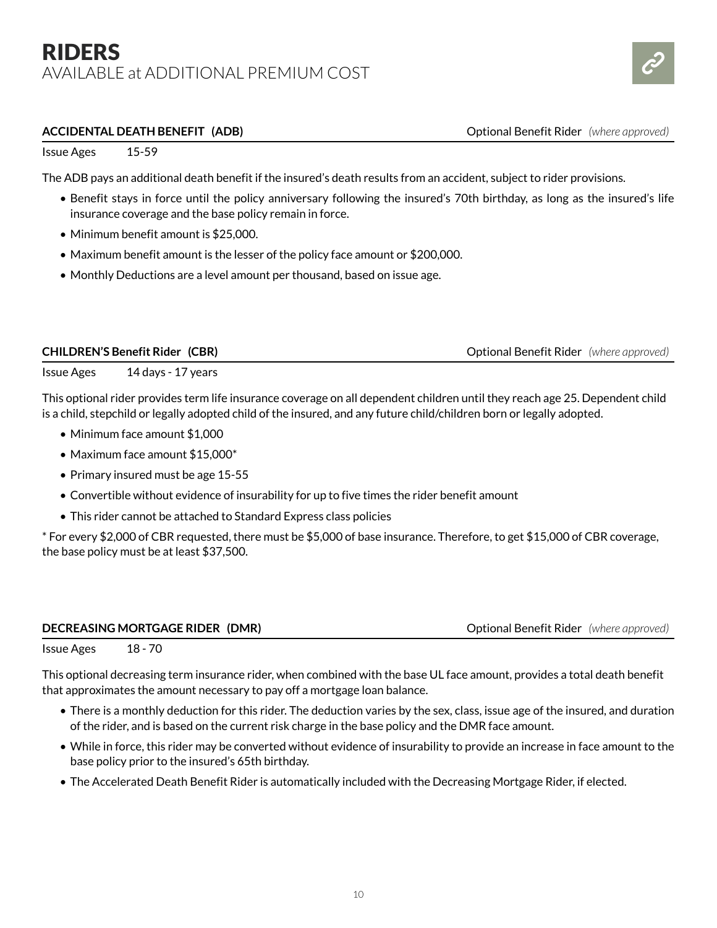### RIDERS AVAILABLE at ADDITIONAL PREMIUM COST



#### **ACCIDENTAL DEATH BENEFIT (ADB)**  $\qquad \qquad \qquad \qquad$  Optional Benefit Rider *(where approved)*

Issue Ages 15-59

The ADB pays an additional death benefit if the insured's death results from an accident, subject to rider provisions.

- Benefit stays in force until the policy anniversary following the insured's 70th birthday, as long as the insured's life insurance coverage and the base policy remain in force.
- Minimum benefit amount is \$25,000.
- Maximum benefit amount is the lesser of the policy face amount or \$200,000.
- Monthly Deductions are a level amount per thousand, based on issue age.

| <b>CHILDREN'S Benefit Rider (CBR)</b> |  |
|---------------------------------------|--|
|---------------------------------------|--|

**Children's Benefit Rider** *(where approved)* 

Issue Ages 14 days - 17 years

This optional rider provides term life insurance coverage on all dependent children until they reach age 25. Dependent child is a child, stepchild or legally adopted child of the insured, and any future child/children born or legally adopted.

- Minimum face amount \$1,000
- Maximum face amount \$15,000\*
- Primary insured must be age 15-55
- Convertible without evidence of insurability for up to five times the rider benefit amount
- This rider cannot be attached to Standard Express class policies

\* For every \$2,000 of CBR requested, there must be \$5,000 of base insurance. Therefore, to get \$15,000 of CBR coverage, the base policy must be at least \$37,500.

#### **DECREASING MORTGAGE RIDER (DMR) CONDUCTER (DMR)** Optional Benefit Rider *(where approved)*

Issue Ages 18 - 70

This optional decreasing term insurance rider, when combined with the base UL face amount, provides a total death benefit that approximates the amount necessary to pay off a mortgage loan balance.

- There is a monthly deduction for this rider. The deduction varies by the sex, class, issue age of the insured, and duration of the rider, and is based on the current risk charge in the base policy and the DMR face amount.
- While in force, this rider may be converted without evidence of insurability to provide an increase in face amount to the base policy prior to the insured's 65th birthday.
- The Accelerated Death Benefit Rider is automatically included with the Decreasing Mortgage Rider, if elected.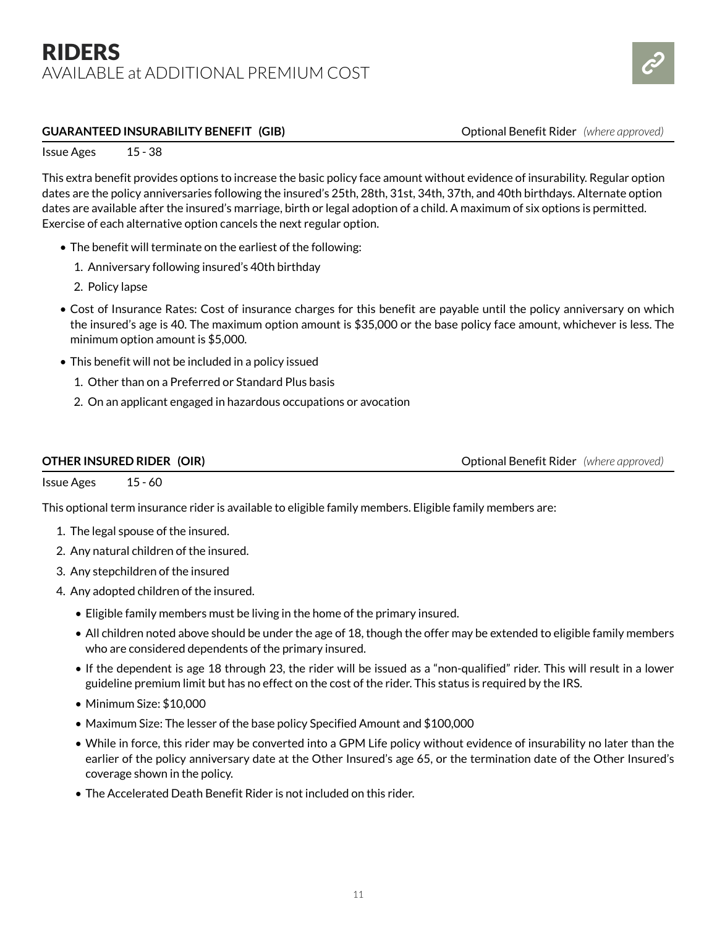

### **GUARANTEED INSURABILITY BENEFIT (GIB)**  $\qquad \qquad$  Optional Benefit Rider *(where approved)*

Issue Ages 15 - 38

This extra benefit provides options to increase the basic policy face amount without evidence of insurability. Regular option dates are the policy anniversaries following the insured's 25th, 28th, 31st, 34th, 37th, and 40th birthdays. Alternate option dates are available after the insured's marriage, birth or legal adoption of a child. A maximum of six options is permitted. Exercise of each alternative option cancels the next regular option.

- The benefit will terminate on the earliest of the following:
	- 1. Anniversary following insured's 40th birthday
	- 2. Policy lapse
- Cost of Insurance Rates: Cost of insurance charges for this benefit are payable until the policy anniversary on which the insured's age is 40. The maximum option amount is \$35,000 or the base policy face amount, whichever is less. The minimum option amount is \$5,000.
- This benefit will not be included in a policy issued
	- 1. Other than on a Preferred or Standard Plus basis
	- 2. On an applicant engaged in hazardous occupations or avocation

**OTHER INSURED RIDER (OIR) CONSURGER (OIR) Optional Benefit Rider** *(where approved)* 

Issue Ages 15 - 60

This optional term insurance rider is available to eligible family members. Eligible family members are:

- 1. The legal spouse of the insured.
- 2. Any natural children of the insured.
- 3. Any stepchildren of the insured
- 4. Any adopted children of the insured.
	- Eligible family members must be living in the home of the primary insured.
	- All children noted above should be under the age of 18, though the offer may be extended to eligible family members who are considered dependents of the primary insured.
	- If the dependent is age 18 through 23, the rider will be issued as a "non-qualified" rider. This will result in a lower guideline premium limit but has no effect on the cost of the rider. This status is required by the IRS.
	- Minimum Size: \$10,000
	- Maximum Size: The lesser of the base policy Specified Amount and \$100,000
	- While in force, this rider may be converted into a GPM Life policy without evidence of insurability no later than the earlier of the policy anniversary date at the Other Insured's age 65, or the termination date of the Other Insured's coverage shown in the policy.
	- The Accelerated Death Benefit Rider is not included on this rider.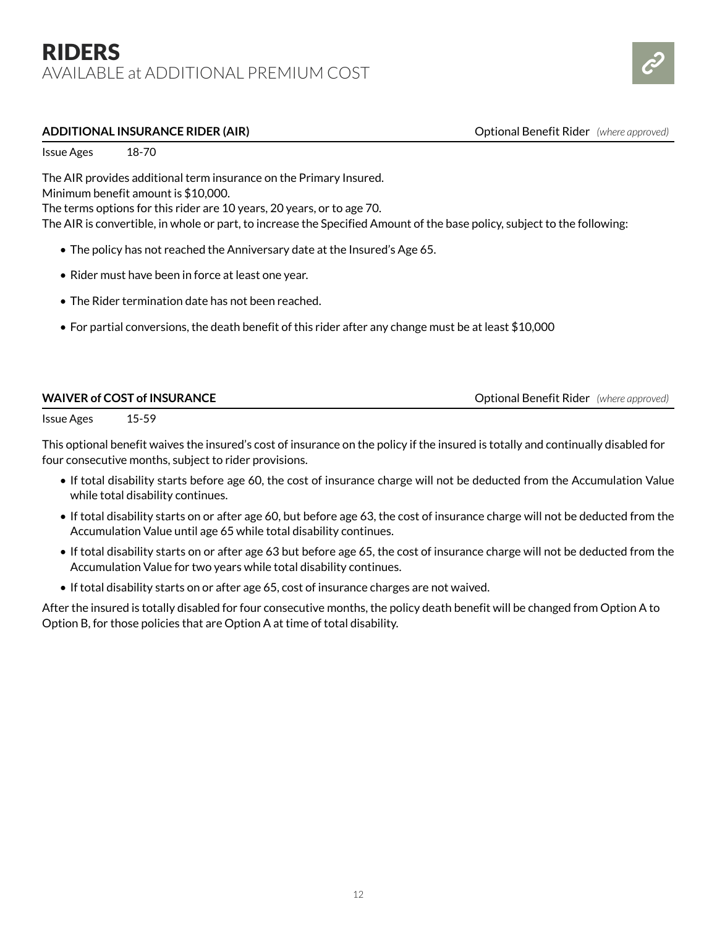### RIDERS AVAILABLE at ADDITIONAL PREMIUM COST



#### **ADDITIONAL INSURANCE RIDER (AIR)** AND AND THE SUPPORTIONAL INSURANCE RIDER (AIR)

Issue Ages 18-70

The AIR provides additional term insurance on the Primary Insured.

Minimum benefit amount is \$10,000.

The terms options for this rider are 10 years, 20 years, or to age 70.

The AIR is convertible, in whole or part, to increase the Specified Amount of the base policy, subject to the following:

- The policy has not reached the Anniversary date at the Insured's Age 65.
- Rider must have been in force at least one year.
- The Rider termination date has not been reached.
- For partial conversions, the death benefit of this rider after any change must be at least \$10,000

| <b>WAIVER of COST of INSURANCE</b> | <b>Optional Benefit Rider</b> (where approved) |
|------------------------------------|------------------------------------------------|
|                                    |                                                |

Issue Ages 15-59

This optional benefit waives the insured's cost of insurance on the policy if the insured is totally and continually disabled for four consecutive months, subject to rider provisions.

- If total disability starts before age 60, the cost of insurance charge will not be deducted from the Accumulation Value while total disability continues.
- If total disability starts on or after age 60, but before age 63, the cost of insurance charge will not be deducted from the Accumulation Value until age 65 while total disability continues.
- If total disability starts on or after age 63 but before age 65, the cost of insurance charge will not be deducted from the Accumulation Value for two years while total disability continues.
- If total disability starts on or after age 65, cost of insurance charges are not waived.

After the insured is totally disabled for four consecutive months, the policy death benefit will be changed from Option A to Option B, for those policies that are Option A at time of total disability.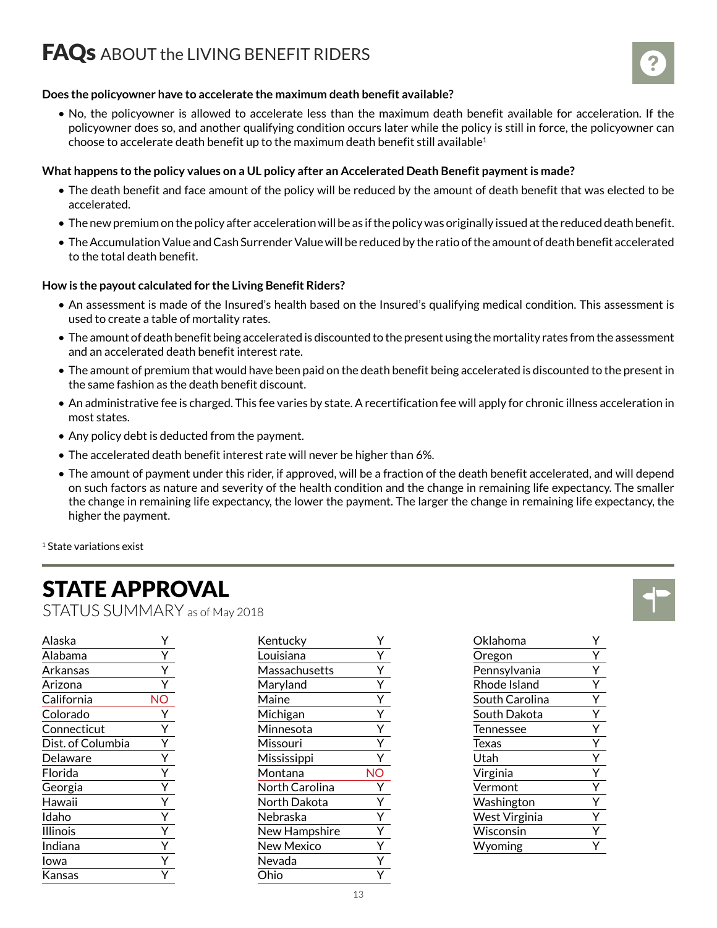### **FAQs** ABOUT the LIVING BENEFIT RIDERS



### **Does the policyowner have to accelerate the maximum death benefit available?**

• No, the policyowner is allowed to accelerate less than the maximum death benefit available for acceleration. If the policyowner does so, and another qualifying condition occurs later while the policy is still in force, the policyowner can choose to accelerate death benefit up to the maximum death benefit still available<sup>1</sup>

### **What happens to the policy values on a UL policy after an Accelerated Death Benefit payment is made?**

- The death benefit and face amount of the policy will be reduced by the amount of death benefit that was elected to be accelerated.
- The new premium on the policy after acceleration will be as if the policy was originally issued at the reduced death benefit.
- The Accumulation Value and Cash Surrender Value will be reduced by the ratio of the amount of death benefit accelerated to the total death benefit.

### **How is the payout calculated for the Living Benefit Riders?**

- An assessment is made of the Insured's health based on the Insured's qualifying medical condition. This assessment is used to create a table of mortality rates.
- The amount of death benefit being accelerated is discounted to the present using the mortality rates from the assessment and an accelerated death benefit interest rate.
- The amount of premium that would have been paid on the death benefit being accelerated is discounted to the present in the same fashion as the death benefit discount.
- An administrative fee is charged. This fee varies by state. A recertification fee will apply for chronic illness acceleration in most states.
- Any policy debt is deducted from the payment.
- The accelerated death benefit interest rate will never be higher than 6%.
- The amount of payment under this rider, if approved, will be a fraction of the death benefit accelerated, and will depend on such factors as nature and severity of the health condition and the change in remaining life expectancy. The smaller the change in remaining life expectancy, the lower the payment. The larger the change in remaining life expectancy, the higher the payment.

<sup>1</sup> State variations exist

## STATE APPROVAL

STATUS SUMMARY as of May 2018

| Alaska            |    |
|-------------------|----|
| Alabama           | Y  |
| Arkansas          | Y  |
| Arizona           |    |
| California        | NC |
| Colorado          |    |
| Connecticut       | Y  |
| Dist. of Columbia | Ý  |
| Delaware          |    |
| Florida           |    |
| Georgia           | Ý  |
| Hawaii            | Ÿ  |
| Idaho             | Ý  |
| Illinois          |    |
| Indiana           | Ý  |
| Iowa              | Ÿ  |
| Kansas            |    |

| Kentucky          | Υ  |
|-------------------|----|
| Louisiana         | Y  |
| Massachusetts     | Y  |
| Maryland          | Ý  |
| Maine             | Ý  |
| Michigan          | Ý  |
| Minnesota         | Ý  |
| Missouri          | Ý  |
| Mississippi       | Υ  |
| Montana           | NΟ |
| North Carolina    | Υ  |
| North Dakota      | Ý  |
| Nebraska          | Ý  |
| New Hampshire     | Ý  |
| <b>New Mexico</b> | Ý  |
| Nevada            | Υ  |
| Ohio              |    |

| Oklahoma       | Y |
|----------------|---|
| Oregon         | Y |
| Pennsylvania   | Y |
| Rhode Island   | Υ |
| South Carolina | Y |
| South Dakota   | Υ |
| Tennessee      | Y |
| <b>Texas</b>   | Υ |
| Utah           |   |
| Virginia       |   |
| Vermont        |   |
| Washington     |   |
| West Virginia  |   |
| Wisconsin      |   |
| Wyoming        |   |
|                |   |

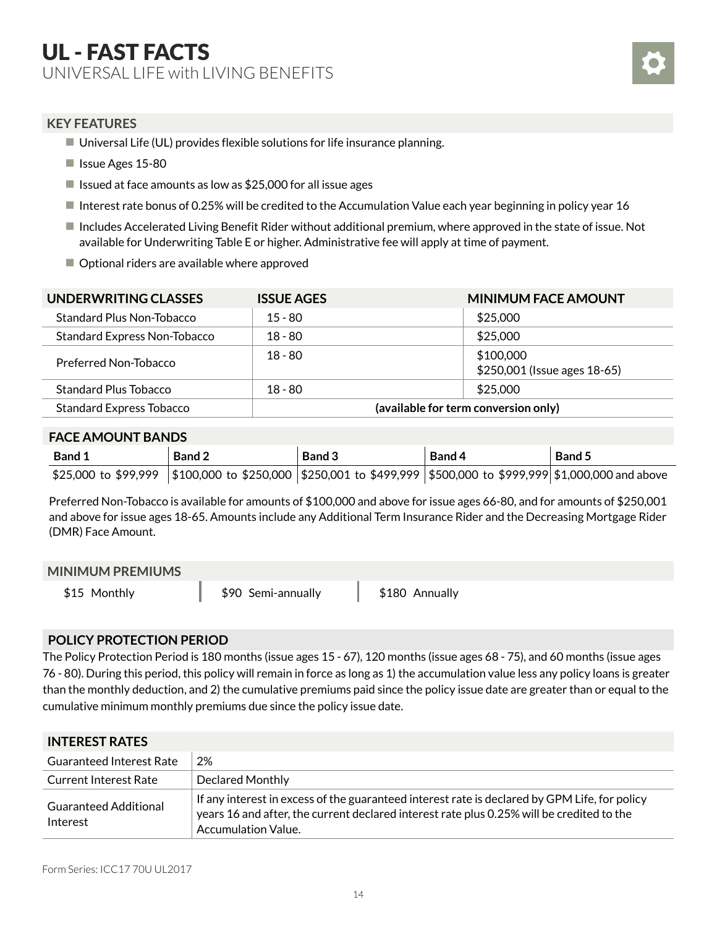### **KEY FEATURES**

- $\blacksquare$  Universal Life (UL) provides flexible solutions for life insurance planning.
- **I** Issue Ages 15-80
- If Issued at face amounts as low as  $$25,000$  for all issue ages
- Interest rate bonus of 0.25% will be credited to the Accumulation Value each year beginning in policy year 16
- Includes Accelerated Living Benefit Rider without additional premium, where approved in the state of issue. Not available for Underwriting Table E or higher. Administrative fee will apply at time of payment.
- Optional riders are available where approved

| UNDERWRITING CLASSES                | <b>ISSUE AGES</b>                    | <b>MINIMUM FACE AMOUNT</b>                |  |
|-------------------------------------|--------------------------------------|-------------------------------------------|--|
| Standard Plus Non-Tobacco           | $15 - 80$                            | \$25,000                                  |  |
| <b>Standard Express Non-Tobacco</b> | $18 - 80$                            | \$25,000                                  |  |
| Preferred Non-Tobacco               | $18 - 80$                            | \$100,000<br>\$250,001 (Issue ages 18-65) |  |
| <b>Standard Plus Tobacco</b>        | $18 - 80$                            | \$25,000                                  |  |
| <b>Standard Express Tobacco</b>     | (available for term conversion only) |                                           |  |

### **FACE AMOUNT BANDS**

| <b>Band 1</b> | Band 2                                                                                                             | Band 3 | Band 4 | Band 5 |
|---------------|--------------------------------------------------------------------------------------------------------------------|--------|--------|--------|
|               | \$25,000 to \$99,999  \$100,000 to \$250,000  \$250,001 to \$499,999  \$500,000 to \$999,999 \$1,000,000 and above |        |        |        |

Preferred Non-Tobacco is available for amounts of \$100,000 and above for issue ages 66-80, and for amounts of \$250,001 and above for issue ages 18-65. Amounts include any Additional Term Insurance Rider and the Decreasing Mortgage Rider (DMR) Face Amount.

#### **MINIMUM PREMIUMS**

\$15 Monthly **\$90 Semi-annually** \$180 Annually

### **POLICY PROTECTION PERIOD**

The Policy Protection Period is 180 months (issue ages 15 - 67), 120 months (issue ages 68 - 75), and 60 months (issue ages 76 - 80). During this period, this policy will remain in force as long as 1) the accumulation value less any policy loans is greater than the monthly deduction, and 2) the cumulative premiums paid since the policy issue date are greater than or equal to the cumulative minimum monthly premiums due since the policy issue date.

| <b>INTEREST RATES</b>                    |                                                                                                                                                                                                                   |  |  |
|------------------------------------------|-------------------------------------------------------------------------------------------------------------------------------------------------------------------------------------------------------------------|--|--|
| <b>Guaranteed Interest Rate</b>          | 2%                                                                                                                                                                                                                |  |  |
| <b>Current Interest Rate</b>             | Declared Monthly                                                                                                                                                                                                  |  |  |
| <b>Guaranteed Additional</b><br>Interest | If any interest in excess of the guaranteed interest rate is declared by GPM Life, for policy<br>years 16 and after, the current declared interest rate plus 0.25% will be credited to the<br>Accumulation Value. |  |  |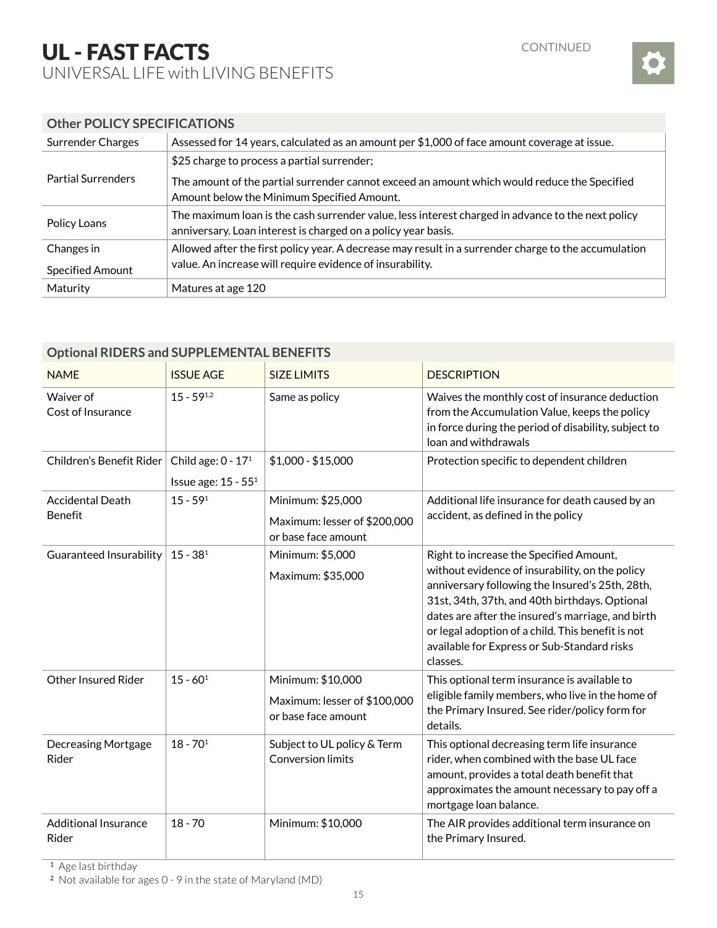

### **Other POLICY SPECIFICATIONS**

| <b>Surrender Charges</b>  | Assessed for 14 years, calculated as an amount per \$1,000 of face amount coverage at issue.                                                                       |  |  |
|---------------------------|--------------------------------------------------------------------------------------------------------------------------------------------------------------------|--|--|
| <b>Partial Surrenders</b> | \$25 charge to process a partial surrender;                                                                                                                        |  |  |
|                           | The amount of the partial surrender cannot exceed an amount which would reduce the Specified<br>Amount below the Minimum Specified Amount.                         |  |  |
| Policy Loans              | The maximum loan is the cash surrender value, less interest charged in advance to the next policy<br>anniversary. Loan interest is charged on a policy year basis. |  |  |
| Changes in                | Allowed after the first policy year. A decrease may result in a surrender charge to the accumulation<br>value. An increase will require evidence of insurability.  |  |  |
| Specified Amount          |                                                                                                                                                                    |  |  |
| Maturity                  | Matures at age 120                                                                                                                                                 |  |  |

| Optional RIDERS and SUPPLEMENTAL BENEFITS |                                                         |                                                                          |                                                                                                                                                                                                                                                                                                                                                                      |  |  |
|-------------------------------------------|---------------------------------------------------------|--------------------------------------------------------------------------|----------------------------------------------------------------------------------------------------------------------------------------------------------------------------------------------------------------------------------------------------------------------------------------------------------------------------------------------------------------------|--|--|
| <b>NAME</b>                               | <b>ISSUE AGE</b>                                        | <b>SIZE LIMITS</b>                                                       | <b>DESCRIPTION</b>                                                                                                                                                                                                                                                                                                                                                   |  |  |
| Waiver of<br>Cost of Insurance            | $15 - 59^{1,2}$                                         | Same as policy                                                           | Waives the monthly cost of insurance deduction<br>from the Accumulation Value, keeps the policy<br>in force during the period of disability, subject to<br>loan and withdrawals                                                                                                                                                                                      |  |  |
| Children's Benefit Rider                  | Child age: $0 - 171$<br>Issue age: 15 - 55 <sup>1</sup> | $$1,000 - $15,000$                                                       | Protection specific to dependent children                                                                                                                                                                                                                                                                                                                            |  |  |
| <b>Accidental Death</b><br>Benefit        | $15 - 591$                                              | Minimum: \$25,000<br>Maximum: lesser of \$200,000<br>or base face amount | Additional life insurance for death caused by an<br>accident, as defined in the policy                                                                                                                                                                                                                                                                               |  |  |
| Guaranteed Insurability                   | $15 - 381$                                              | Minimum: \$5,000<br>Maximum: \$35,000                                    | Right to increase the Specified Amount,<br>without evidence of insurability, on the policy<br>anniversary following the Insured's 25th, 28th,<br>31st, 34th, 37th, and 40th birthdays. Optional<br>dates are after the insured's marriage, and birth<br>or legal adoption of a child. This benefit is not<br>available for Express or Sub-Standard risks<br>classes. |  |  |
| <b>Other Insured Rider</b>                | $15 - 60^1$                                             | Minimum: \$10,000<br>Maximum: lesser of \$100,000<br>or base face amount | This optional term insurance is available to<br>eligible family members, who live in the home of<br>the Primary Insured. See rider/policy form for<br>details.                                                                                                                                                                                                       |  |  |
| <b>Decreasing Mortgage</b><br>Rider       | $18 - 701$                                              | Subject to UL policy & Term<br><b>Conversion limits</b>                  | This optional decreasing term life insurance<br>rider, when combined with the base UL face<br>amount, provides a total death benefit that<br>approximates the amount necessary to pay off a<br>mortgage loan balance.                                                                                                                                                |  |  |
| <b>Additional Insurance</b><br>Rider      | $18 - 70$                                               | Minimum: \$10,000                                                        | The AIR provides additional term insurance on<br>the Primary Insured.                                                                                                                                                                                                                                                                                                |  |  |

### **Optional RIDERS and SUPPLEMENTAL BENEFITS**

<sup>1</sup> Age last birthday

<sup>2</sup> Not available for ages 0 - 9 in the state of Maryland (MD)